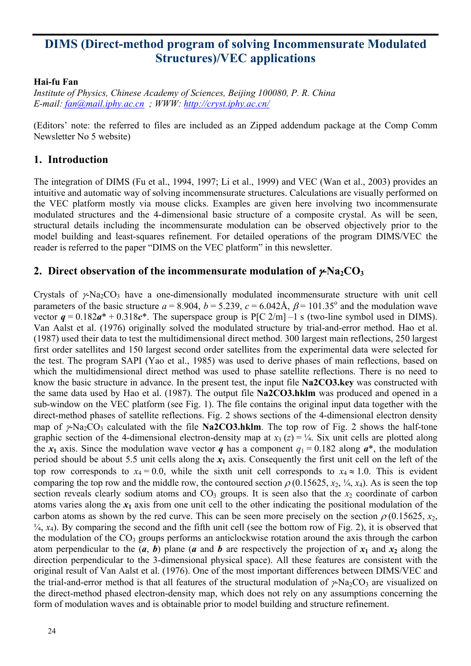# **DIMS (Direct-method program of solving Incommensurate Modulated Structures)/VEC applications**

### **Hai-fu Fan**

*Institute of Physics, Chinese Academy of Sciences, Beijing 100080, P. R. China E-mail: [fan@mail.iphy.ac.cn](mailto:fan@mail.iphy.ac.cn) ; WWW:<http://cryst.iphy.ac.cn/>* 

(Editors' note: the referred to files are included as an Zipped addendum package at the Comp Comm Newsletter No 5 website)

## **1. Introduction**

The integration of DIMS (Fu et al., 1994, 1997; Li et al., 1999) and VEC (Wan et al., 2003) provides an intuitive and automatic way of solving incommensurate structures. Calculations are visually performed on the VEC platform mostly via mouse clicks. Examples are given here involving two incommensurate modulated structures and the 4-dimensional basic structure of a composite crystal. As will be seen, structural details including the incommensurate modulation can be observed objectively prior to the model building and least-squares refinement. For detailed operations of the program DIMS/VEC the reader is referred to the paper "DIMS on the VEC platform" in this newsletter.

## **2. Direct observation of the incommensurate modulation of**  $\gamma$ **-Na<sub>2</sub>CO<sub>3</sub>**

Crystals of  $\gamma$ -Na<sub>2</sub>CO<sub>3</sub> have a one-dimensionally modulated incommensurate structure with unit cell parameters of the basic structure  $a = 8.904$ ,  $b = 5.239$ ,  $c = 6.042$ Å,  $\beta = 101.35^{\circ}$  and the modulation wave vector  $q = 0.182a^* + 0.318c^*$ . The superspace group is P[C 2/m] –1 s (two-line symbol used in DIMS). Van Aalst et al. (1976) originally solved the modulated structure by trial-and-error method. Hao et al. (1987) used their data to test the multidimensional direct method. 300 largest main reflections, 250 largest first order satellites and 150 largest second order satellites from the experimental data were selected for the test. The program SAPI (Yao et al., 1985) was used to derive phases of main reflections, based on which the multidimensional direct method was used to phase satellite reflections. There is no need to know the basic structure in advance. In the present test, the input file **Na2CO3.key** was constructed with the same data used by Hao et al. (1987). The output file **Na2CO3.hklm** was produced and opened in a sub-window on the VEC platform (see Fig. 1). The file contains the original input data together with the direct-method phases of satellite reflections. Fig. 2 shows sections of the 4-dimensional electron density map of  $\gamma$ -Na<sub>2</sub>CO<sub>3</sub> calculated with the file **Na2CO3.hklm**. The top row of Fig. 2 shows the half-tone graphic section of the 4-dimensional electron-density map at  $x_3$  ( $z$ ) =  $\frac{1}{4}$ . Six unit cells are plotted along the  $x_1$  axis. Since the modulation wave vector *q* has a component  $q_1 = 0.182$  along  $a^*$ , the modulation period should be about 5.5 unit cells along the  $x_1$  axis. Consequently the first unit cell on the left of the top row corresponds to  $x_4 = 0.0$ , while the sixth unit cell corresponds to  $x_4 \approx 1.0$ . This is evident comparing the top row and the middle row, the contoured section  $\rho$  (0.15625, *x*<sub>2</sub>, <sup>1</sup>/<sub>4</sub>, *x*<sub>4</sub>). As is seen the top section reveals clearly sodium atoms and  $CO<sub>3</sub>$  groups. It is seen also that the  $x<sub>2</sub>$  coordinate of carbon atoms varies along the  $x_1$  axis from one unit cell to the other indicating the positional modulation of the carbon atoms as shown by the red curve. This can be seen more precisely on the section  $\rho$  (0.15625, *x*<sub>2</sub>,  $\frac{1}{4}$ ,  $x_4$ ). By comparing the second and the fifth unit cell (see the bottom row of Fig. 2), it is observed that the modulation of the  $CO<sub>3</sub>$  groups performs an anticlockwise rotation around the axis through the carbon atom perpendicular to the  $(a, b)$  plane  $(a \text{ and } b \text{ are respectively the projection of } x_1 \text{ and } x_2 \text{ along the } x_3 \text{ and } x_4 \text{ along the } x_4 \text{ and } x_5 \text{ along the } x_6 \text{ and } x_7 \text{ along the } x_7 \text{ and } x_8 \text{ along the } x_9 \text{ and } x_9 \text{ along the } x_9 \text{ and } x_9 \text{ along the } x_9 \text{ and } x_9 \text{ along the } x_9 \text{ and } x_9 \text{ along the } x_9 \text{ and } x_9 \$ direction perpendicular to the 3-dimensional physical space). All these features are consistent with the original result of Van Aalst et al. (1976). One of the most important differences between DIMS/VEC and the trial-and-error method is that all features of the structural modulation of  $\gamma$ -Na<sub>2</sub>CO<sub>3</sub> are visualized on the direct-method phased electron-density map, which does not rely on any assumptions concerning the form of modulation waves and is obtainable prior to model building and structure refinement.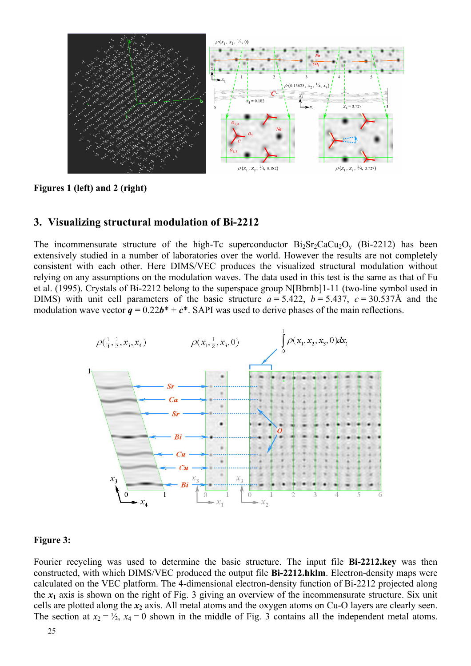

**Figures 1 (left) and 2 (right)** 

#### **3. Visualizing structural modulation of Bi-2212**

The incommensurate structure of the high-Tc superconductor  $Bi_2Sr_2CaCu_2O_v$  (Bi-2212) has been extensively studied in a number of laboratories over the world. However the results are not completely consistent with each other. Here DIMS/VEC produces the visualized structural modulation without relying on any assumptions on the modulation waves. The data used in this test is the same as that of Fu et al. (1995). Crystals of Bi-2212 belong to the superspace group N[Bbmb]1-11 (two-line symbol used in DIMS) with unit cell parameters of the basic structure  $a = 5.422$ ,  $b = 5.437$ ,  $c = 30.537$ Å and the modulation wave vector  $q = 0.22b^* + c^*$ . SAPI was used to derive phases of the main reflections.



#### **Figure 3:**

Fourier recycling was used to determine the basic structure. The input file **Bi-2212.key** was then constructed, with which DIMS/VEC produced the output file **Bi-2212.hklm**. Electron-density maps were calculated on the VEC platform. The 4-dimensional electron-density function of Bi-2212 projected along the  $x_1$  axis is shown on the right of Fig. 3 giving an overview of the incommensurate structure. Six unit cells are plotted along the *x***2** axis. All metal atoms and the oxygen atoms on Cu-O layers are clearly seen. The section at  $x_2 = \frac{1}{2}$ ,  $x_4 = 0$  shown in the middle of Fig. 3 contains all the independent metal atoms.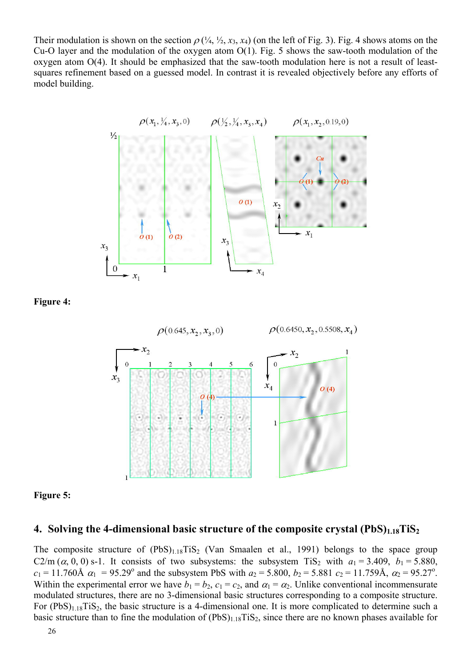Their modulation is shown on the section  $\rho$  ( $\frac{1}{4}$ ,  $\frac{1}{2}$ ,  $x_3$ ,  $x_4$ ) (on the left of Fig. 3). Fig. 4 shows atoms on the Cu-O layer and the modulation of the oxygen atom O(1). Fig. 5 shows the saw-tooth modulation of the oxygen atom O(4). It should be emphasized that the saw-tooth modulation here is not a result of leastsquares refinement based on a guessed model. In contrast it is revealed objectively before any efforts of model building.



**Figure 4:** 



**Figure 5:** 

### **4. Solving the 4-dimensional basic structure of the composite crystal (PbS)**<sub>1.18</sub>TiS<sub>2</sub>

The composite structure of  $(PbS)_{1.18}TiS_2$  (Van Smaalen et al., 1991) belongs to the space group C2/m  $(\alpha, 0, 0)$  s-1. It consists of two subsystems: the subsystem TiS<sub>2</sub> with  $a_1 = 3.409$ ,  $b_1 = 5.880$ ,  $c_1 = 11.760$ Å  $\alpha_1 = 95.29$ ° and the subsystem PbS with  $a_2 = 5.800$ ,  $b_2 = 5.881$   $c_2 = 11.759$ Å,  $\alpha_2 = 95.27$ °. Within the experimental error we have  $b_1 = b_2$ ,  $c_1 = c_2$ , and  $a_1 = a_2$ . Unlike conventional incommensurate modulated structures, there are no 3-dimensional basic structures corresponding to a composite structure. For  $(PbS)_{1.18}TiS_2$ , the basic structure is a 4-dimensional one. It is more complicated to determine such a basic structure than to fine the modulation of  $(PbS)_{1.18}TiS_2$ , since there are no known phases available for